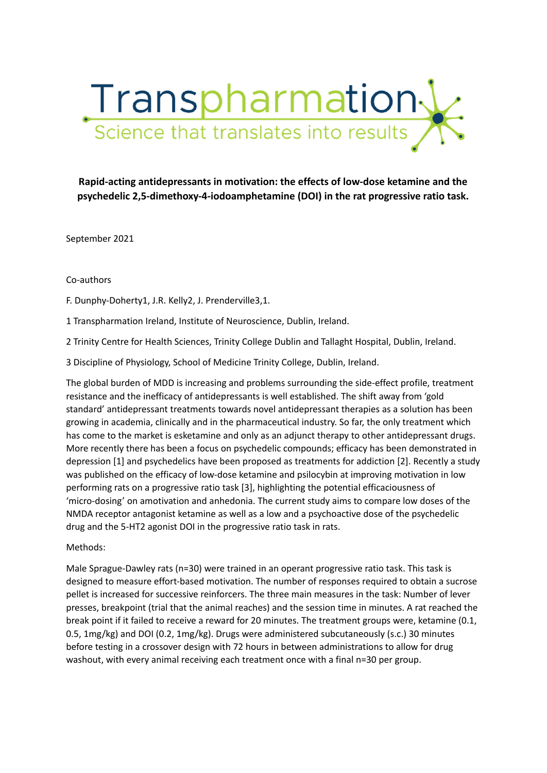

**Rapid-acting antidepressants in motivation: the effects of low-dose ketamine and the psychedelic 2,5-dimethoxy-4-iodoamphetamine (DOI) in the rat progressive ratio task.**

September 2021

### Co-authors

F. Dunphy-Doherty1, J.R. Kelly2, J. Prenderville3,1.

1 Transpharmation Ireland, Institute of Neuroscience, Dublin, Ireland.

2 Trinity Centre for Health Sciences, Trinity College Dublin and Tallaght Hospital, Dublin, Ireland.

3 Discipline of Physiology, School of Medicine Trinity College, Dublin, Ireland.

The global burden of MDD is increasing and problems surrounding the side-effect profile, treatment resistance and the inefficacy of antidepressants is well established. The shift away from 'gold standard' antidepressant treatments towards novel antidepressant therapies as a solution has been growing in academia, clinically and in the pharmaceutical industry. So far, the only treatment which has come to the market is esketamine and only as an adjunct therapy to other antidepressant drugs. More recently there has been a focus on psychedelic compounds; efficacy has been demonstrated in depression [1] and psychedelics have been proposed as treatments for addiction [2]. Recently a study was published on the efficacy of low-dose ketamine and psilocybin at improving motivation in low performing rats on a progressive ratio task [3], highlighting the potential efficaciousness of 'micro-dosing' on amotivation and anhedonia. The current study aims to compare low doses of the NMDA receptor antagonist ketamine as well as a low and a psychoactive dose of the psychedelic drug and the 5-HT2 agonist DOI in the progressive ratio task in rats.

### Methods:

Male Sprague-Dawley rats (n=30) were trained in an operant progressive ratio task. This task is designed to measure effort-based motivation. The number of responses required to obtain a sucrose pellet is increased for successive reinforcers. The three main measures in the task: Number of lever presses, breakpoint (trial that the animal reaches) and the session time in minutes. A rat reached the break point if it failed to receive a reward for 20 minutes. The treatment groups were, ketamine (0.1, 0.5, 1mg/kg) and DOI (0.2, 1mg/kg). Drugs were administered subcutaneously (s.c.) 30 minutes before testing in a crossover design with 72 hours in between administrations to allow for drug washout, with every animal receiving each treatment once with a final n=30 per group.